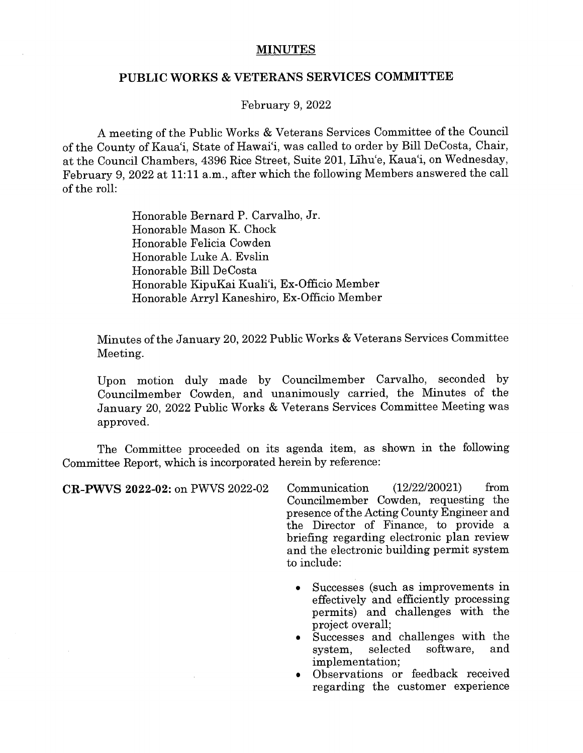## MINUTES

## PUBLIC WORKS & VETERANS SERVICES COMMITTEE

February 9, 2022

A meeting of the Public Works & Veterans Services Committee of the Council of the County of Kaua'i, State of Hawai'i, was called to order by Bill DeCosta, Chair, at the Council Chambers, 4396 Rice Street, Suite 201, Lihu'e, Kaua'i, on Wednesday, February 9, 2022 at 11:11 a.m., after which the following Members answered the call of the roll:

> Honorable Bernard P. Carvaiho, Jr. Honorable Mason K. Chock Honorable Felicia Cowden Honorable Luke A. Evslin Honorable Bill DeCosta Honorable KipuKai Kuali'i, Ex-Officio Member Honorable Arryl Kaneshiro, Ex-Officio Member

Minutes of the January 20, 2022 Public Works & Veterans Services Committee Meeting.

Upon motion duly made by Councilmember Carvalho, seconded by Councilmember Cowden, and unanimously carried, the Minutes of the January 20, 2022 Public Works & Veterans Services Committee Meeting was approved.

The Committee proceeded on its agenda item, as shown in the following Committee Report, which is incorporated herein by reference:

CR-PWVS 2022-02: on PWVS 2022-02 Communication (12/22/20021) from Councilmember Cowden, requesting the presence ofthe Acting County Engineer and the Director of Finance, to provide a briefing regarding electronic plan review and the electronic building permit system to include:

- Successes (such as improvements in effectively and efficiently processing permits) and challenges with the project overall;
- Successes and challenges with the<br>system, selected software, and system, selected software, implementation;
- Observations or feedback received regarding the customer experience